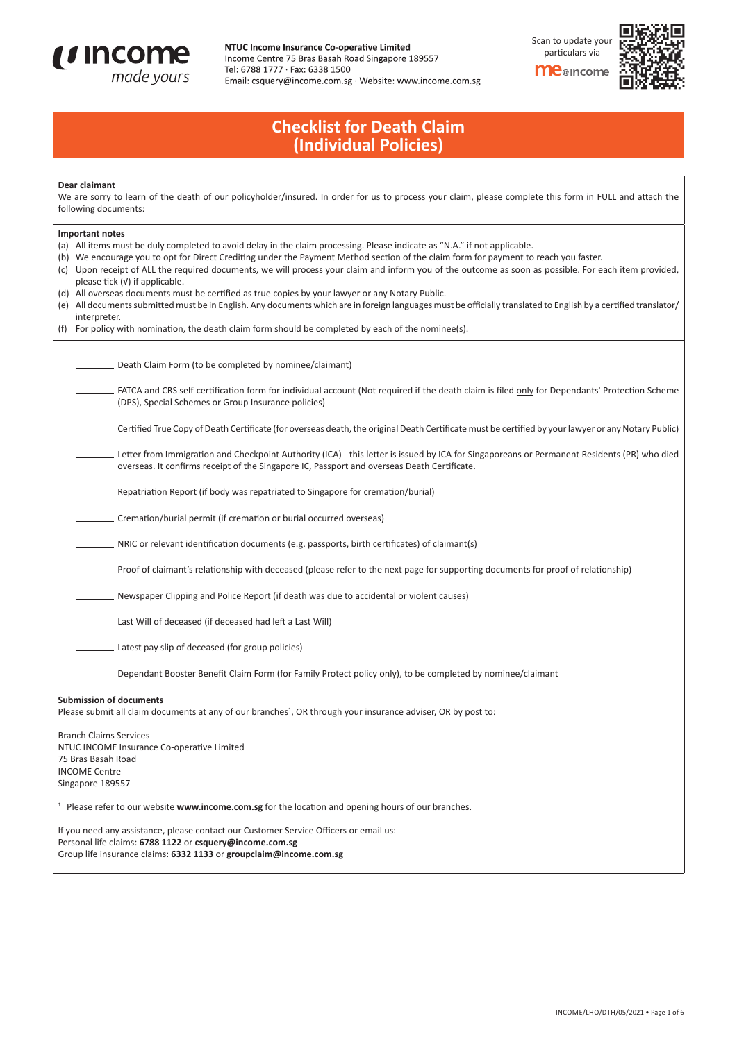

## NTUC Income Insurance Co-operative Limited

Income Centre 75 Bras Basah Road Singapore 189557 Tel: 6788 1777 · Fax: 6338 1500 Email: csquery@income.com.sg · Website: www.income.com.sg Scan to update your particulars via

**me**@income



## **Checklist for Death Claim (Individual Policies)**

### **Dear claimant**

We are sorry to learn of the death of our policyholder/insured. In order for us to process your claim, please complete this form in FULL and attach the following documents:

| <b>Important notes</b>                                                                                                                                                                                                                                                                                                                                                                                                                                         |  |  |  |  |  |  |
|----------------------------------------------------------------------------------------------------------------------------------------------------------------------------------------------------------------------------------------------------------------------------------------------------------------------------------------------------------------------------------------------------------------------------------------------------------------|--|--|--|--|--|--|
| (a) All items must be duly completed to avoid delay in the claim processing. Please indicate as "N.A." if not applicable.<br>(b) We encourage you to opt for Direct Crediting under the Payment Method section of the claim form for payment to reach you faster.<br>(c) Upon receipt of ALL the required documents, we will process your claim and inform you of the outcome as soon as possible. For each item provided,<br>please tick $(v)$ if applicable. |  |  |  |  |  |  |
| (d) All overseas documents must be certified as true copies by your lawyer or any Notary Public.                                                                                                                                                                                                                                                                                                                                                               |  |  |  |  |  |  |
| (e) All documents submitted must be in English. Any documents which are in foreign languages must be officially translated to English by a certified translator/                                                                                                                                                                                                                                                                                               |  |  |  |  |  |  |
| interpreter.                                                                                                                                                                                                                                                                                                                                                                                                                                                   |  |  |  |  |  |  |
| (f) For policy with nomination, the death claim form should be completed by each of the nominee(s).                                                                                                                                                                                                                                                                                                                                                            |  |  |  |  |  |  |
|                                                                                                                                                                                                                                                                                                                                                                                                                                                                |  |  |  |  |  |  |
| Death Claim Form (to be completed by nominee/claimant)                                                                                                                                                                                                                                                                                                                                                                                                         |  |  |  |  |  |  |
| FATCA and CRS self-certification form for individual account (Not required if the death claim is filed only for Dependants' Protection Scheme<br>(DPS), Special Schemes or Group Insurance policies)                                                                                                                                                                                                                                                           |  |  |  |  |  |  |
| Certified True Copy of Death Certificate (for overseas death, the original Death Certificate must be certified by your lawyer or any Notary Public)                                                                                                                                                                                                                                                                                                            |  |  |  |  |  |  |
| Letter from Immigration and Checkpoint Authority (ICA) - this letter is issued by ICA for Singaporeans or Permanent Residents (PR) who died<br>overseas. It confirms receipt of the Singapore IC, Passport and overseas Death Certificate.                                                                                                                                                                                                                     |  |  |  |  |  |  |
| Repatriation Report (if body was repatriated to Singapore for cremation/burial)                                                                                                                                                                                                                                                                                                                                                                                |  |  |  |  |  |  |
| _ Cremation/burial permit (if cremation or burial occurred overseas)                                                                                                                                                                                                                                                                                                                                                                                           |  |  |  |  |  |  |
| NRIC or relevant identification documents (e.g. passports, birth certificates) of claimant(s)                                                                                                                                                                                                                                                                                                                                                                  |  |  |  |  |  |  |
| Proof of claimant's relationship with deceased (please refer to the next page for supporting documents for proof of relationship)                                                                                                                                                                                                                                                                                                                              |  |  |  |  |  |  |
| _ Newspaper Clipping and Police Report (if death was due to accidental or violent causes)                                                                                                                                                                                                                                                                                                                                                                      |  |  |  |  |  |  |
| Last Will of deceased (if deceased had left a Last Will)                                                                                                                                                                                                                                                                                                                                                                                                       |  |  |  |  |  |  |
| Latest pay slip of deceased (for group policies)                                                                                                                                                                                                                                                                                                                                                                                                               |  |  |  |  |  |  |
| _ Dependant Booster Benefit Claim Form (for Family Protect policy only), to be completed by nominee/claimant                                                                                                                                                                                                                                                                                                                                                   |  |  |  |  |  |  |
| <b>Submission of documents</b><br>Please submit all claim documents at any of our branches <sup>1</sup> , OR through your insurance adviser, OR by post to:                                                                                                                                                                                                                                                                                                    |  |  |  |  |  |  |
| <b>Branch Claims Services</b>                                                                                                                                                                                                                                                                                                                                                                                                                                  |  |  |  |  |  |  |
| NTUC INCOME Insurance Co-operative Limited                                                                                                                                                                                                                                                                                                                                                                                                                     |  |  |  |  |  |  |
| 75 Bras Basah Road                                                                                                                                                                                                                                                                                                                                                                                                                                             |  |  |  |  |  |  |
| <b>INCOME Centre</b>                                                                                                                                                                                                                                                                                                                                                                                                                                           |  |  |  |  |  |  |
| Singapore 189557                                                                                                                                                                                                                                                                                                                                                                                                                                               |  |  |  |  |  |  |
| <sup>1</sup> Please refer to our website www.income.com.sg for the location and opening hours of our branches.                                                                                                                                                                                                                                                                                                                                                 |  |  |  |  |  |  |

If you need any assistance, please contact our Customer Service Officers or email us: Personal life claims: **6788 1122** or **csquery@income.com.sg** Group life insurance claims: **6332 1133** or **groupclaim@income.com.sg**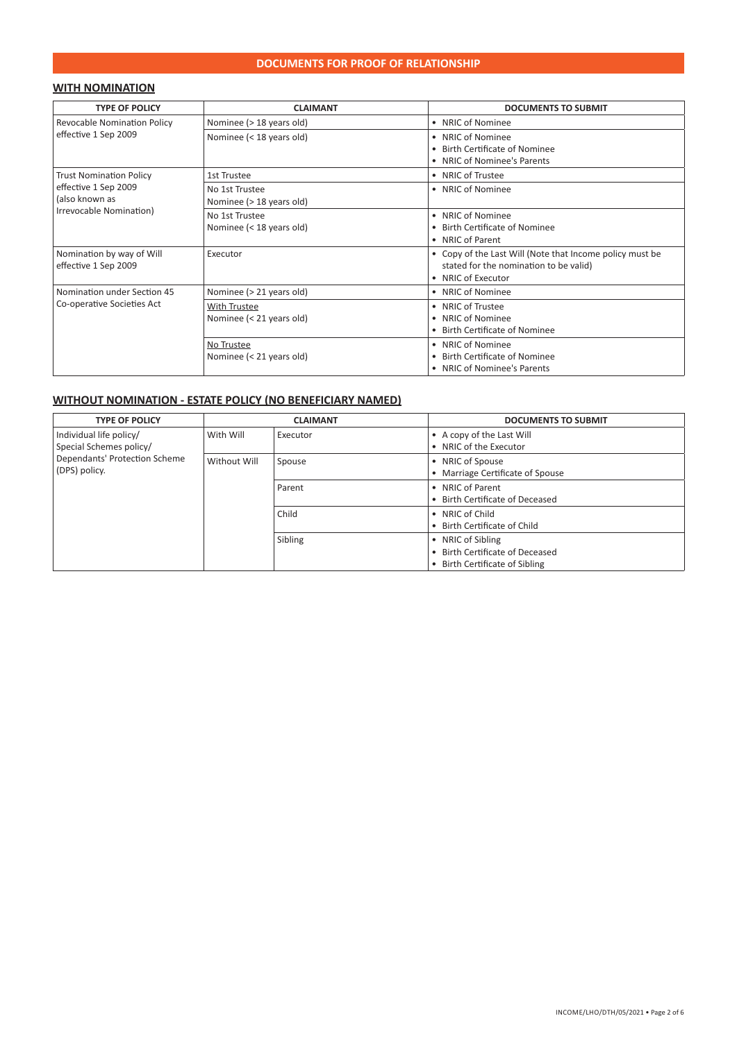### **DOCUMENTS FOR PROOF OF RELATIONSHIP**

### **WITH NOMINATION**

| <b>TYPE OF POLICY</b>                             | <b>CLAIMANT</b>                            | <b>DOCUMENTS TO SUBMIT</b>                                                                                               |
|---------------------------------------------------|--------------------------------------------|--------------------------------------------------------------------------------------------------------------------------|
| Revocable Nomination Policy                       | Nominee (> 18 years old)                   | • NRIC of Nominee                                                                                                        |
| effective 1 Sep 2009                              | Nominee (< 18 years old)                   | • NRIC of Nominee<br>• Birth Certificate of Nominee                                                                      |
|                                                   |                                            | • NRIC of Nominee's Parents                                                                                              |
| <b>Trust Nomination Policy</b>                    | 1st Trustee                                | • NRIC of Trustee                                                                                                        |
| effective 1 Sep 2009<br>(also known as            | No 1st Trustee<br>Nominee (> 18 years old) | • NRIC of Nominee                                                                                                        |
| Irrevocable Nomination)                           | No 1st Trustee<br>Nominee (< 18 years old) | • NRIC of Nominee<br>• Birth Certificate of Nominee<br>• NRIC of Parent                                                  |
| Nomination by way of Will<br>effective 1 Sep 2009 | Executor                                   | • Copy of the Last Will (Note that Income policy must be<br>stated for the nomination to be valid)<br>• NRIC of Executor |
| Nomination under Section 45                       | Nominee (> 21 years old)                   | • NRIC of Nominee                                                                                                        |
| Co-operative Societies Act                        | With Trustee<br>Nominee (< 21 years old)   | • NRIC of Trustee<br>• NRIC of Nominee<br>• Birth Certificate of Nominee                                                 |
|                                                   | No Trustee<br>Nominee (< 21 years old)     | • NRIC of Nominee<br>• Birth Certificate of Nominee<br>• NRIC of Nominee's Parents                                       |

### **WITHOUT NOMINATION - ESTATE POLICY (NO BENEFICIARY NAMED)**

| <b>TYPE OF POLICY</b>                            | <b>CLAIMANT</b> |         | <b>DOCUMENTS TO SUBMIT</b>       |
|--------------------------------------------------|-----------------|---------|----------------------------------|
| With Will<br>Individual life policy/<br>Executor |                 |         | • A copy of the Last Will        |
| Special Schemes policy/                          |                 |         | • NRIC of the Executor           |
| Dependants' Protection Scheme                    | Without Will    | Spouse  | • NRIC of Spouse                 |
| (DPS) policy.                                    |                 |         | • Marriage Certificate of Spouse |
|                                                  |                 | Parent  | • NRIC of Parent                 |
|                                                  |                 |         | • Birth Certificate of Deceased  |
|                                                  |                 | Child   | • NRIC of Child                  |
|                                                  |                 |         | • Birth Certificate of Child     |
|                                                  |                 | Sibling | • NRIC of Sibling                |
|                                                  |                 |         | • Birth Certificate of Deceased  |
|                                                  |                 |         | • Birth Certificate of Sibling   |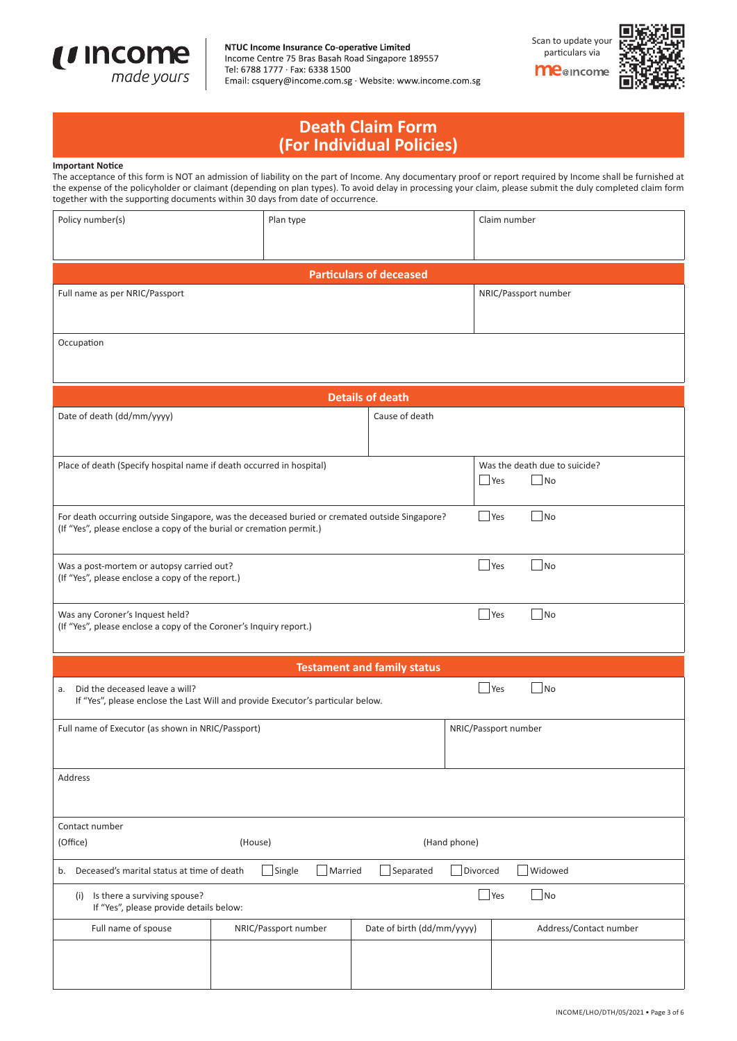

### NTUC Income Insurance Co-operative Limited

Income Centre 75 Bras Basah Road Singapore 189557 Tel: 6788 1777 · Fax: 6338 1500 Email: csquery@income.com.sg · Website: www.income.com.sg Scan to update you particulars via**me**@income



## **Death Claim Form (For Individual Policies)**

#### **Important Notice**

The acceptance of this form is NOT an admission of liability on the part of Income. Any documentary proof or report required by Income shall be furnished at the expense of the policyholder or claimant (depending on plan types). To avoid delay in processing your claim, please submit the duly completed claim form together with the supporting documents within 30 days from date of occurrence.

| Policy number(s)                                                                                                                                                      | Plan type                                                                       |                                    |  | Claim number                  |  |
|-----------------------------------------------------------------------------------------------------------------------------------------------------------------------|---------------------------------------------------------------------------------|------------------------------------|--|-------------------------------|--|
|                                                                                                                                                                       |                                                                                 |                                    |  |                               |  |
|                                                                                                                                                                       |                                                                                 | <b>Particulars of deceased</b>     |  |                               |  |
|                                                                                                                                                                       |                                                                                 |                                    |  |                               |  |
| Full name as per NRIC/Passport                                                                                                                                        |                                                                                 |                                    |  | NRIC/Passport number          |  |
|                                                                                                                                                                       |                                                                                 |                                    |  |                               |  |
| Occupation                                                                                                                                                            |                                                                                 |                                    |  |                               |  |
|                                                                                                                                                                       |                                                                                 |                                    |  |                               |  |
|                                                                                                                                                                       |                                                                                 |                                    |  |                               |  |
|                                                                                                                                                                       |                                                                                 | <b>Details of death</b>            |  |                               |  |
| Date of death (dd/mm/yyyy)                                                                                                                                            |                                                                                 | Cause of death                     |  |                               |  |
|                                                                                                                                                                       |                                                                                 |                                    |  |                               |  |
| Place of death (Specify hospital name if death occurred in hospital)                                                                                                  |                                                                                 |                                    |  | Was the death due to suicide? |  |
|                                                                                                                                                                       |                                                                                 |                                    |  | $\Box$ Yes<br>$ $ No          |  |
|                                                                                                                                                                       |                                                                                 |                                    |  |                               |  |
| For death occurring outside Singapore, was the deceased buried or cremated outside Singapore?<br>(If "Yes", please enclose a copy of the burial or cremation permit.) |                                                                                 |                                    |  | $\Box$ No<br>Yes              |  |
|                                                                                                                                                                       |                                                                                 |                                    |  |                               |  |
| Was a post-mortem or autopsy carried out?                                                                                                                             |                                                                                 |                                    |  | <b>Yes</b><br>No              |  |
| (If "Yes", please enclose a copy of the report.)                                                                                                                      |                                                                                 |                                    |  |                               |  |
|                                                                                                                                                                       |                                                                                 |                                    |  |                               |  |
| Was any Coroner's Inquest held?<br>(If "Yes", please enclose a copy of the Coroner's Inquiry report.)                                                                 |                                                                                 |                                    |  | $\vert$ No<br>Yes             |  |
|                                                                                                                                                                       |                                                                                 |                                    |  |                               |  |
|                                                                                                                                                                       |                                                                                 | <b>Testament and family status</b> |  |                               |  |
| a. Did the deceased leave a will?                                                                                                                                     |                                                                                 |                                    |  | $\Box$ No<br>Yes              |  |
|                                                                                                                                                                       | If "Yes", please enclose the Last Will and provide Executor's particular below. |                                    |  |                               |  |
|                                                                                                                                                                       |                                                                                 |                                    |  |                               |  |
| Full name of Executor (as shown in NRIC/Passport)                                                                                                                     |                                                                                 |                                    |  | NRIC/Passport number          |  |
|                                                                                                                                                                       |                                                                                 |                                    |  |                               |  |
| Address                                                                                                                                                               |                                                                                 |                                    |  |                               |  |
|                                                                                                                                                                       |                                                                                 |                                    |  |                               |  |
| Contact number                                                                                                                                                        |                                                                                 |                                    |  |                               |  |
| (Office)                                                                                                                                                              | (House)<br>(Hand phone)                                                         |                                    |  |                               |  |
|                                                                                                                                                                       |                                                                                 |                                    |  |                               |  |
| $\Box$ Single<br>Separated<br>Divorced<br>Widowed<br>Deceased's marital status at time of death<br>Married<br>b.                                                      |                                                                                 |                                    |  |                               |  |
| (i) Is there a surviving spouse?                                                                                                                                      | $\n  o$<br><b>Yes</b><br>If "Yes", please provide details below:                |                                    |  |                               |  |
| Full name of spouse                                                                                                                                                   | NRIC/Passport number                                                            | Date of birth (dd/mm/yyyy)         |  | Address/Contact number        |  |
|                                                                                                                                                                       |                                                                                 |                                    |  |                               |  |
|                                                                                                                                                                       |                                                                                 |                                    |  |                               |  |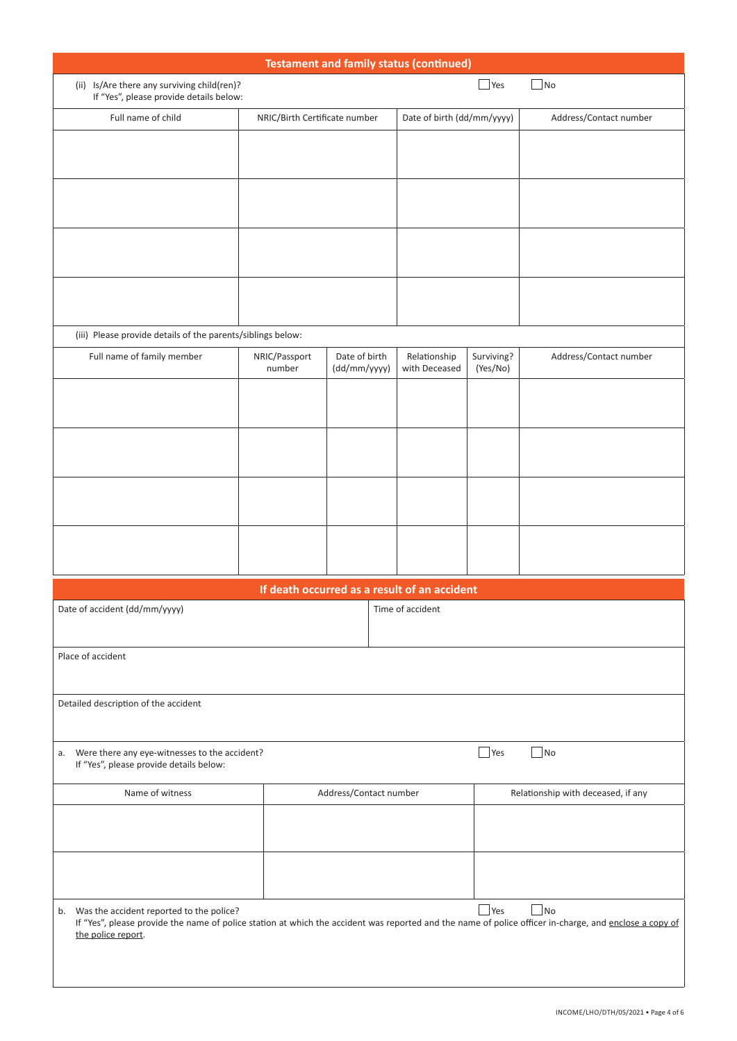| <b>Testament and family status (continued)</b>                                                                                                                                                                                                  |                               |                                              |                               |                        |                                    |
|-------------------------------------------------------------------------------------------------------------------------------------------------------------------------------------------------------------------------------------------------|-------------------------------|----------------------------------------------|-------------------------------|------------------------|------------------------------------|
| (ii) Is/Are there any surviving child(ren)?<br>If "Yes", please provide details below:                                                                                                                                                          |                               |                                              |                               | $\blacksquare$ Yes     | $\Box$ No                          |
| Full name of child                                                                                                                                                                                                                              | NRIC/Birth Certificate number |                                              | Date of birth (dd/mm/yyyy)    |                        | Address/Contact number             |
|                                                                                                                                                                                                                                                 |                               |                                              |                               |                        |                                    |
|                                                                                                                                                                                                                                                 |                               |                                              |                               |                        |                                    |
|                                                                                                                                                                                                                                                 |                               |                                              |                               |                        |                                    |
|                                                                                                                                                                                                                                                 |                               |                                              |                               |                        |                                    |
| (iii) Please provide details of the parents/siblings below:                                                                                                                                                                                     |                               |                                              |                               |                        |                                    |
| Full name of family member                                                                                                                                                                                                                      | NRIC/Passport<br>number       | Date of birth<br>(dd/mm/yyyy)                | Relationship<br>with Deceased | Surviving?<br>(Yes/No) | Address/Contact number             |
|                                                                                                                                                                                                                                                 |                               |                                              |                               |                        |                                    |
|                                                                                                                                                                                                                                                 |                               |                                              |                               |                        |                                    |
|                                                                                                                                                                                                                                                 |                               |                                              |                               |                        |                                    |
|                                                                                                                                                                                                                                                 |                               |                                              |                               |                        |                                    |
|                                                                                                                                                                                                                                                 |                               | If death occurred as a result of an accident |                               |                        |                                    |
| Date of accident (dd/mm/yyyy)                                                                                                                                                                                                                   |                               |                                              | Time of accident              |                        |                                    |
| Place of accident                                                                                                                                                                                                                               |                               |                                              |                               |                        |                                    |
| Detailed description of the accident                                                                                                                                                                                                            |                               |                                              |                               |                        |                                    |
| a. Were there any eye-witnesses to the accident?<br>If "Yes", please provide details below:                                                                                                                                                     |                               |                                              |                               | $\Box$ Yes             | $\Box$ No                          |
| Name of witness                                                                                                                                                                                                                                 |                               | Address/Contact number                       |                               |                        | Relationship with deceased, if any |
|                                                                                                                                                                                                                                                 |                               |                                              |                               |                        |                                    |
|                                                                                                                                                                                                                                                 |                               |                                              |                               |                        |                                    |
| Yes<br>$\Box$ No<br>b. Was the accident reported to the police?<br>If "Yes", please provide the name of police station at which the accident was reported and the name of police officer in-charge, and enclose a copy of<br>the police report. |                               |                                              |                               |                        |                                    |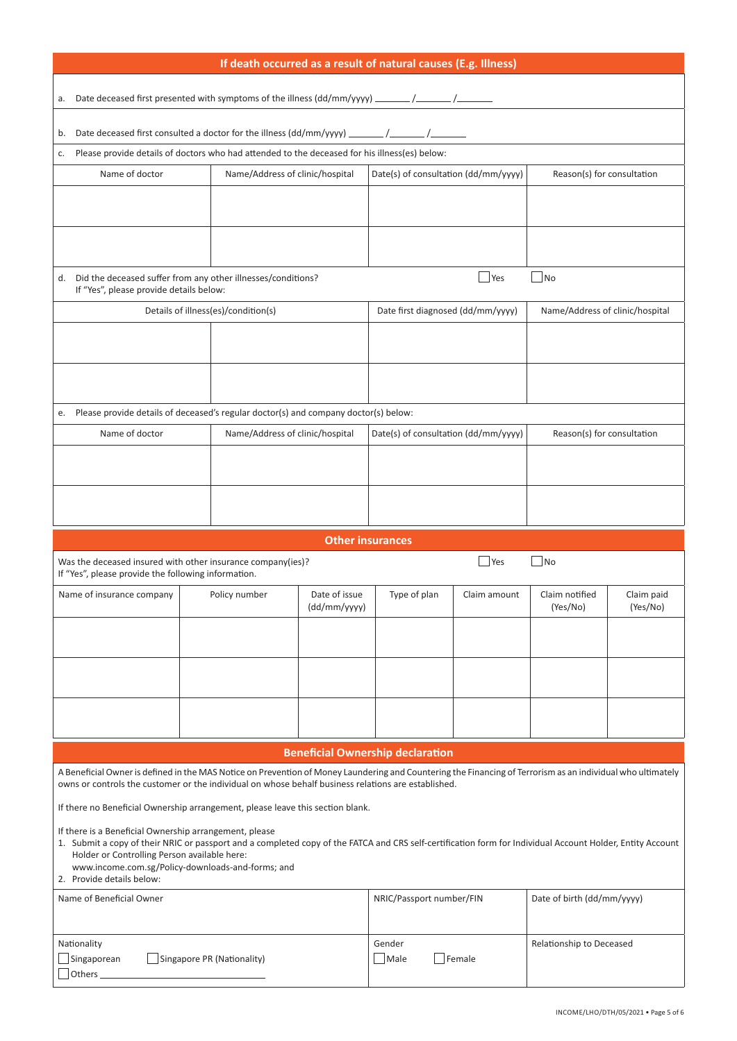| If death occurred as a result of natural causes (E.g. Illness)                                                                                                                                                                                                                                                            |                                                                                                                                                                        |                         |                                         |              |                                 |            |
|---------------------------------------------------------------------------------------------------------------------------------------------------------------------------------------------------------------------------------------------------------------------------------------------------------------------------|------------------------------------------------------------------------------------------------------------------------------------------------------------------------|-------------------------|-----------------------------------------|--------------|---------------------------------|------------|
| Date deceased first presented with symptoms of the illness (dd/mm/yyyy) ______/_____/__<br>а.                                                                                                                                                                                                                             |                                                                                                                                                                        |                         |                                         |              |                                 |            |
|                                                                                                                                                                                                                                                                                                                           |                                                                                                                                                                        |                         |                                         |              |                                 |            |
| b.<br>c.                                                                                                                                                                                                                                                                                                                  | Date deceased first consulted a doctor for the illness (dd/mm/yyyy) _<br>Please provide details of doctors who had attended to the deceased for his illness(es) below: |                         |                                         |              |                                 |            |
| Name of doctor                                                                                                                                                                                                                                                                                                            | Name/Address of clinic/hospital                                                                                                                                        |                         | Date(s) of consultation (dd/mm/yyyy)    |              | Reason(s) for consultation      |            |
|                                                                                                                                                                                                                                                                                                                           |                                                                                                                                                                        |                         |                                         |              |                                 |            |
|                                                                                                                                                                                                                                                                                                                           |                                                                                                                                                                        |                         |                                         |              |                                 |            |
|                                                                                                                                                                                                                                                                                                                           |                                                                                                                                                                        |                         |                                         |              |                                 |            |
| d.<br>If "Yes", please provide details below:                                                                                                                                                                                                                                                                             | Did the deceased suffer from any other illnesses/conditions?                                                                                                           |                         |                                         | Yes          | $\blacksquare$ No               |            |
|                                                                                                                                                                                                                                                                                                                           | Details of illness(es)/condition(s)                                                                                                                                    |                         | Date first diagnosed (dd/mm/yyyy)       |              | Name/Address of clinic/hospital |            |
|                                                                                                                                                                                                                                                                                                                           |                                                                                                                                                                        |                         |                                         |              |                                 |            |
|                                                                                                                                                                                                                                                                                                                           |                                                                                                                                                                        |                         |                                         |              |                                 |            |
| e.                                                                                                                                                                                                                                                                                                                        | Please provide details of deceased's regular doctor(s) and company doctor(s) below:                                                                                    |                         |                                         |              |                                 |            |
| Name of doctor                                                                                                                                                                                                                                                                                                            | Name/Address of clinic/hospital                                                                                                                                        |                         | Date(s) of consultation (dd/mm/yyyy)    |              | Reason(s) for consultation      |            |
|                                                                                                                                                                                                                                                                                                                           |                                                                                                                                                                        |                         |                                         |              |                                 |            |
|                                                                                                                                                                                                                                                                                                                           |                                                                                                                                                                        |                         |                                         |              |                                 |            |
|                                                                                                                                                                                                                                                                                                                           |                                                                                                                                                                        |                         |                                         |              |                                 |            |
|                                                                                                                                                                                                                                                                                                                           |                                                                                                                                                                        | <b>Other insurances</b> |                                         |              |                                 |            |
| Was the deceased insured with other insurance company(ies)?<br>If "Yes", please provide the following information.                                                                                                                                                                                                        |                                                                                                                                                                        |                         |                                         | $\Box$ Yes   | $ $ No                          |            |
| Name of insurance company                                                                                                                                                                                                                                                                                                 | Policy number                                                                                                                                                          | Date of issue           | Type of plan                            | Claim amount | Claim notified                  | Claim paid |
|                                                                                                                                                                                                                                                                                                                           |                                                                                                                                                                        | (dd/mm/yyyy)            |                                         |              | (Yes/No)                        | (Yes/No)   |
|                                                                                                                                                                                                                                                                                                                           |                                                                                                                                                                        |                         |                                         |              |                                 |            |
|                                                                                                                                                                                                                                                                                                                           |                                                                                                                                                                        |                         |                                         |              |                                 |            |
|                                                                                                                                                                                                                                                                                                                           |                                                                                                                                                                        |                         |                                         |              |                                 |            |
|                                                                                                                                                                                                                                                                                                                           |                                                                                                                                                                        |                         |                                         |              |                                 |            |
|                                                                                                                                                                                                                                                                                                                           |                                                                                                                                                                        |                         | <b>Beneficial Ownership declaration</b> |              |                                 |            |
| A Beneficial Owner is defined in the MAS Notice on Prevention of Money Laundering and Countering the Financing of Terrorism as an individual who ultimately                                                                                                                                                               |                                                                                                                                                                        |                         |                                         |              |                                 |            |
| owns or controls the customer or the individual on whose behalf business relations are established.<br>If there no Beneficial Ownership arrangement, please leave this section blank.                                                                                                                                     |                                                                                                                                                                        |                         |                                         |              |                                 |            |
| If there is a Beneficial Ownership arrangement, please<br>1. Submit a copy of their NRIC or passport and a completed copy of the FATCA and CRS self-certification form for Individual Account Holder, Entity Account<br>Holder or Controlling Person available here:<br>www.income.com.sg/Policy-downloads-and-forms; and |                                                                                                                                                                        |                         |                                         |              |                                 |            |
| 2. Provide details below:                                                                                                                                                                                                                                                                                                 |                                                                                                                                                                        |                         |                                         |              |                                 |            |
| Name of Beneficial Owner                                                                                                                                                                                                                                                                                                  | NRIC/Passport number/FIN<br>Date of birth (dd/mm/yyyy)                                                                                                                 |                         |                                         |              |                                 |            |
|                                                                                                                                                                                                                                                                                                                           |                                                                                                                                                                        |                         |                                         |              |                                 |            |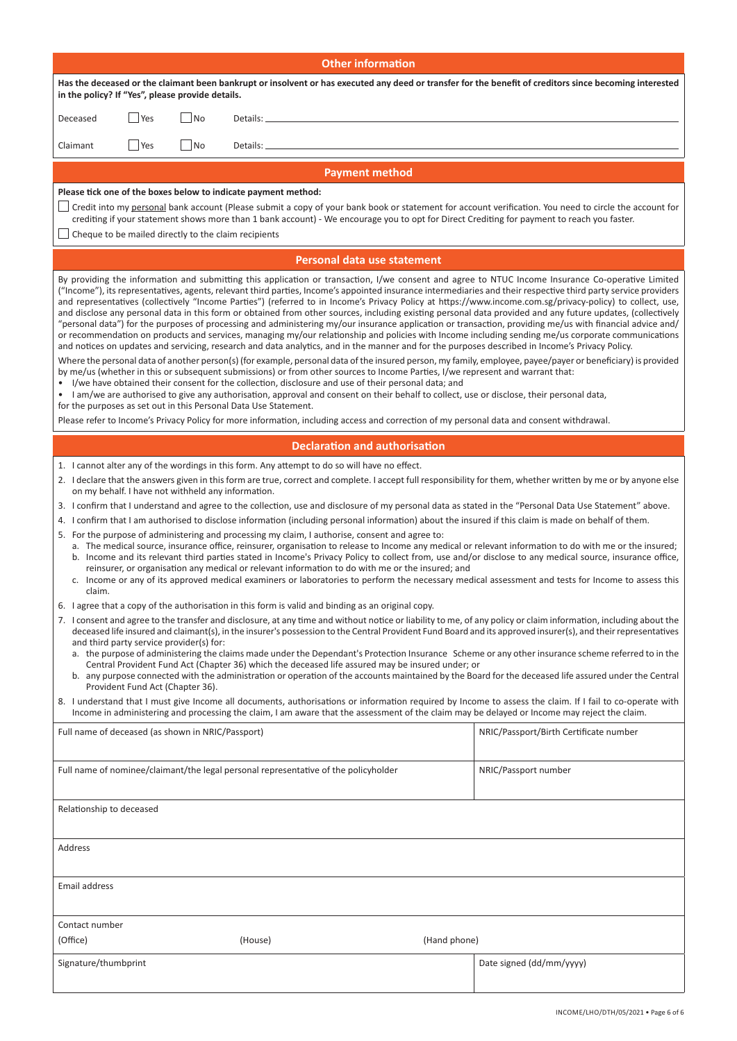| <b>Other information</b>                                                                                                                                                                                                                                                                                                                                                                                                                                                                                                                                                                                                                                                                                                                                                                                                                                                                                                                                                                                                                                                                                               |                                        |  |  |  |
|------------------------------------------------------------------------------------------------------------------------------------------------------------------------------------------------------------------------------------------------------------------------------------------------------------------------------------------------------------------------------------------------------------------------------------------------------------------------------------------------------------------------------------------------------------------------------------------------------------------------------------------------------------------------------------------------------------------------------------------------------------------------------------------------------------------------------------------------------------------------------------------------------------------------------------------------------------------------------------------------------------------------------------------------------------------------------------------------------------------------|----------------------------------------|--|--|--|
| Has the deceased or the claimant been bankrupt or insolvent or has executed any deed or transfer for the benefit of creditors since becoming interested<br>in the policy? If "Yes", please provide details.                                                                                                                                                                                                                                                                                                                                                                                                                                                                                                                                                                                                                                                                                                                                                                                                                                                                                                            |                                        |  |  |  |
| Yes<br> No<br>Deceased<br>Details: _                                                                                                                                                                                                                                                                                                                                                                                                                                                                                                                                                                                                                                                                                                                                                                                                                                                                                                                                                                                                                                                                                   |                                        |  |  |  |
| Yes<br>$\blacksquare$ No<br>Claimant<br>Details: _                                                                                                                                                                                                                                                                                                                                                                                                                                                                                                                                                                                                                                                                                                                                                                                                                                                                                                                                                                                                                                                                     |                                        |  |  |  |
|                                                                                                                                                                                                                                                                                                                                                                                                                                                                                                                                                                                                                                                                                                                                                                                                                                                                                                                                                                                                                                                                                                                        |                                        |  |  |  |
| <b>Payment method</b><br>Please tick one of the boxes below to indicate payment method:                                                                                                                                                                                                                                                                                                                                                                                                                                                                                                                                                                                                                                                                                                                                                                                                                                                                                                                                                                                                                                |                                        |  |  |  |
| Scredit into my <u>personal</u> bank account (Please submit a copy of your bank book or statement for account verification. You need to circle the account for scount for<br>crediting if your statement shows more than 1 bank account) - We encourage you to opt for Direct Crediting for payment to reach you faster.<br>Cheque to be mailed directly to the claim recipients                                                                                                                                                                                                                                                                                                                                                                                                                                                                                                                                                                                                                                                                                                                                       |                                        |  |  |  |
| Personal data use statement                                                                                                                                                                                                                                                                                                                                                                                                                                                                                                                                                                                                                                                                                                                                                                                                                                                                                                                                                                                                                                                                                            |                                        |  |  |  |
| By providing the information and submitting this application or transaction, I/we consent and agree to NTUC Income Insurance Co-operative Limited<br>("Income"), its representatives, agents, relevant third parties, Income's appointed insurance intermediaries and their respective third party service providers<br>and representatives (collectively "Income Parties") (referred to in Income's Privacy Policy at https://www.income.com.sg/privacy-policy) to collect, use,<br>and disclose any personal data in this form or obtained from other sources, including existing personal data provided and any future updates, (collectively<br>"personal data") for the purposes of processing and administering my/our insurance application or transaction, providing me/us with financial advice and/<br>or recommendation on products and services, managing my/our relationship and policies with Income including sending me/us corporate communications<br>and notices on updates and servicing, research and data analytics, and in the manner and for the purposes described in Income's Privacy Policy. |                                        |  |  |  |
| Where the personal data of another person(s) (for example, personal data of the insured person, my family, employee, payee/payer or beneficiary) is provided<br>by me/us (whether in this or subsequent submissions) or from other sources to Income Parties, I/we represent and warrant that:<br>I/we have obtained their consent for the collection, disclosure and use of their personal data; and<br>• I am/we are authorised to give any authorisation, approval and consent on their behalf to collect, use or disclose, their personal data,<br>for the purposes as set out in this Personal Data Use Statement.                                                                                                                                                                                                                                                                                                                                                                                                                                                                                                |                                        |  |  |  |
| Please refer to Income's Privacy Policy for more information, including access and correction of my personal data and consent withdrawal.                                                                                                                                                                                                                                                                                                                                                                                                                                                                                                                                                                                                                                                                                                                                                                                                                                                                                                                                                                              |                                        |  |  |  |
| <b>Declaration and authorisation</b>                                                                                                                                                                                                                                                                                                                                                                                                                                                                                                                                                                                                                                                                                                                                                                                                                                                                                                                                                                                                                                                                                   |                                        |  |  |  |
| 1. I cannot alter any of the wordings in this form. Any attempt to do so will have no effect.                                                                                                                                                                                                                                                                                                                                                                                                                                                                                                                                                                                                                                                                                                                                                                                                                                                                                                                                                                                                                          |                                        |  |  |  |
| 2. I declare that the answers given in this form are true, correct and complete. I accept full responsibility for them, whether written by me or by anyone else<br>on my behalf. I have not withheld any information.                                                                                                                                                                                                                                                                                                                                                                                                                                                                                                                                                                                                                                                                                                                                                                                                                                                                                                  |                                        |  |  |  |
| 3. I confirm that I understand and agree to the collection, use and disclosure of my personal data as stated in the "Personal Data Use Statement" above.                                                                                                                                                                                                                                                                                                                                                                                                                                                                                                                                                                                                                                                                                                                                                                                                                                                                                                                                                               |                                        |  |  |  |
| 4. I confirm that I am authorised to disclose information (including personal information) about the insured if this claim is made on behalf of them.                                                                                                                                                                                                                                                                                                                                                                                                                                                                                                                                                                                                                                                                                                                                                                                                                                                                                                                                                                  |                                        |  |  |  |
| 5. For the purpose of administering and processing my claim, I authorise, consent and agree to:<br>a. The medical source, insurance office, reinsurer, organisation to release to Income any medical or relevant information to do with me or the insured;<br>b. Income and its relevant third parties stated in Income's Privacy Policy to collect from, use and/or disclose to any medical source, insurance office,<br>reinsurer, or organisation any medical or relevant information to do with me or the insured; and<br>c. Income or any of its approved medical examiners or laboratories to perform the necessary medical assessment and tests for Income to assess this<br>claim.                                                                                                                                                                                                                                                                                                                                                                                                                             |                                        |  |  |  |
| 6. I agree that a copy of the authorisation in this form is valid and binding as an original copy.                                                                                                                                                                                                                                                                                                                                                                                                                                                                                                                                                                                                                                                                                                                                                                                                                                                                                                                                                                                                                     |                                        |  |  |  |
| 7. I consent and agree to the transfer and disclosure, at any time and without notice or liability to me, of any policy or claim information, including about the<br>deceased life insured and claimant(s), in the insurer's possession to the Central Provident Fund Board and its approved insurer(s), and their representatives<br>and third party service provider(s) for:<br>a. the purpose of administering the claims made under the Dependant's Protection Insurance Scheme or any other insurance scheme referred to in the<br>Central Provident Fund Act (Chapter 36) which the deceased life assured may be insured under; or<br>b. any purpose connected with the administration or operation of the accounts maintained by the Board for the deceased life assured under the Central                                                                                                                                                                                                                                                                                                                      |                                        |  |  |  |
| Provident Fund Act (Chapter 36).<br>8. I understand that I must give Income all documents, authorisations or information required by Income to assess the claim. If I fail to co-operate with<br>Income in administering and processing the claim, I am aware that the assessment of the claim may be delayed or Income may reject the claim.                                                                                                                                                                                                                                                                                                                                                                                                                                                                                                                                                                                                                                                                                                                                                                          |                                        |  |  |  |
| Full name of deceased (as shown in NRIC/Passport)                                                                                                                                                                                                                                                                                                                                                                                                                                                                                                                                                                                                                                                                                                                                                                                                                                                                                                                                                                                                                                                                      | NRIC/Passport/Birth Certificate number |  |  |  |
| Full name of nominee/claimant/the legal personal representative of the policyholder                                                                                                                                                                                                                                                                                                                                                                                                                                                                                                                                                                                                                                                                                                                                                                                                                                                                                                                                                                                                                                    | NRIC/Passport number                   |  |  |  |
| Relationship to deceased                                                                                                                                                                                                                                                                                                                                                                                                                                                                                                                                                                                                                                                                                                                                                                                                                                                                                                                                                                                                                                                                                               |                                        |  |  |  |
| Address                                                                                                                                                                                                                                                                                                                                                                                                                                                                                                                                                                                                                                                                                                                                                                                                                                                                                                                                                                                                                                                                                                                |                                        |  |  |  |
| Email address                                                                                                                                                                                                                                                                                                                                                                                                                                                                                                                                                                                                                                                                                                                                                                                                                                                                                                                                                                                                                                                                                                          |                                        |  |  |  |
| Contact number<br>(Hand phone)<br>(Office)<br>(House)                                                                                                                                                                                                                                                                                                                                                                                                                                                                                                                                                                                                                                                                                                                                                                                                                                                                                                                                                                                                                                                                  |                                        |  |  |  |
| Signature/thumbprint                                                                                                                                                                                                                                                                                                                                                                                                                                                                                                                                                                                                                                                                                                                                                                                                                                                                                                                                                                                                                                                                                                   | Date signed (dd/mm/yyyy)               |  |  |  |
|                                                                                                                                                                                                                                                                                                                                                                                                                                                                                                                                                                                                                                                                                                                                                                                                                                                                                                                                                                                                                                                                                                                        |                                        |  |  |  |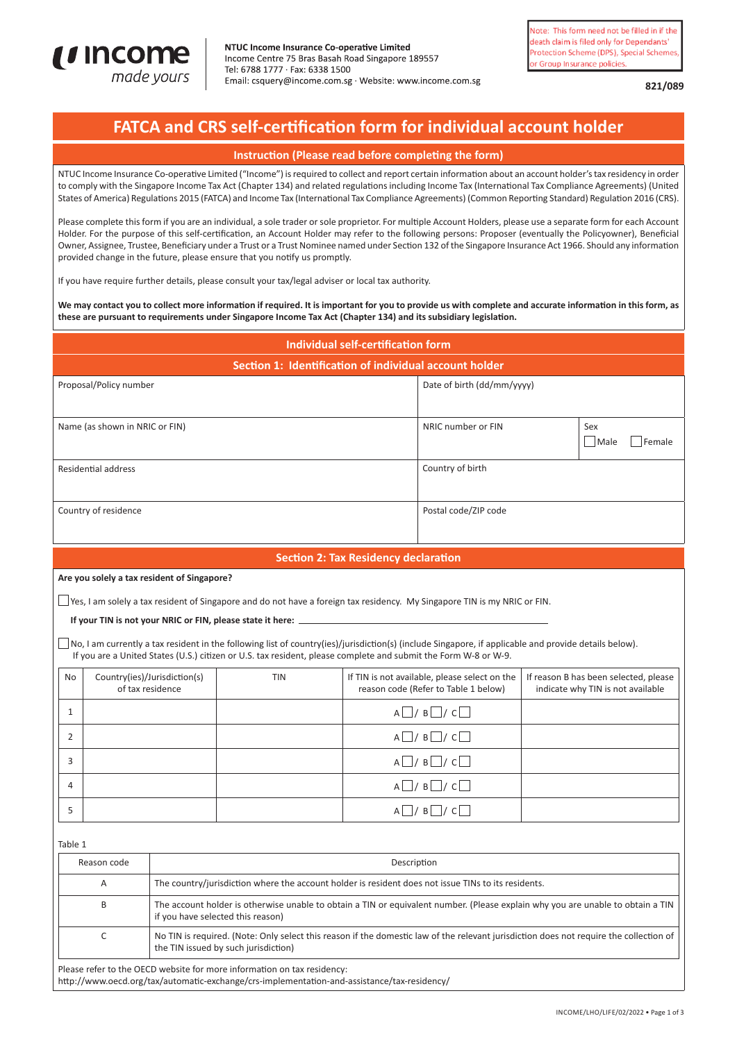

**821/089**

# **FATCA and CRS self-certification form for individual account holder**

### **Instruction (Please read before completing the form)**

NTUC Income Insurance Co-operative Limited ("Income") is required to collect and report certain information about an account holder's tax residency in order to comply with the Singapore Income Tax Act (Chapter 134) and related regulations including Income Tax (International Tax Compliance Agreements) (United States of America) Regulations 2015 (FATCA) and Income Tax (International Tax Compliance Agreements) (Common Reporting Standard) Regulation 2016 (CRS).

Please complete this form if you are an individual, a sole trader or sole proprietor. For multiple Account Holders, please use a separate form for each Account Holder. For the purpose of this self-certification, an Account Holder may refer to the following persons: Proposer (eventually the Policyowner), Beneficial Owner, Assignee, Trustee, Beneficiary under a Trust or a Trust Nominee named under Section 132 of the Singapore Insurance Act 1966. Should any information provided change in the future, please ensure that you notify us promptly.

If you have require further details, please consult your tax/legal adviser or local tax authority.

**We may contact you to collect more information if required. It is important for you to provide us with complete and accurate information in this form, as these are pursuant to requirements under Singapore Income Tax Act (Chapter 134) and its subsidiary legislation.**

|             | <b>Individual self-certification form</b> |                                                  |                                                                                                                                                                                                                                                                                                                                                                                                                                                                            |                                             |                                                                                       |  |                                                                            |
|-------------|-------------------------------------------|--------------------------------------------------|----------------------------------------------------------------------------------------------------------------------------------------------------------------------------------------------------------------------------------------------------------------------------------------------------------------------------------------------------------------------------------------------------------------------------------------------------------------------------|---------------------------------------------|---------------------------------------------------------------------------------------|--|----------------------------------------------------------------------------|
|             |                                           |                                                  | Section 1: Identification of individual account holder                                                                                                                                                                                                                                                                                                                                                                                                                     |                                             |                                                                                       |  |                                                                            |
|             | Proposal/Policy number                    |                                                  |                                                                                                                                                                                                                                                                                                                                                                                                                                                                            |                                             | Date of birth (dd/mm/yyyy)                                                            |  |                                                                            |
|             | Name (as shown in NRIC or FIN)            |                                                  |                                                                                                                                                                                                                                                                                                                                                                                                                                                                            |                                             | NRIC number or FIN                                                                    |  | Sex<br>  Male<br>Female                                                    |
|             | <b>Residential address</b>                |                                                  |                                                                                                                                                                                                                                                                                                                                                                                                                                                                            |                                             | Country of birth                                                                      |  |                                                                            |
|             | Country of residence                      |                                                  |                                                                                                                                                                                                                                                                                                                                                                                                                                                                            |                                             | Postal code/ZIP code                                                                  |  |                                                                            |
|             |                                           |                                                  |                                                                                                                                                                                                                                                                                                                                                                                                                                                                            | <b>Section 2: Tax Residency declaration</b> |                                                                                       |  |                                                                            |
|             |                                           | Are you solely a tax resident of Singapore?      | $\Box$ Yes, I am solely a tax resident of Singapore and do not have a foreign tax residency. My Singapore TIN is my NRIC or FIN.<br>If your TIN is not your NRIC or FIN, please state it here:<br>No, I am currently a tax resident in the following list of country(ies)/jurisdiction(s) (include Singapore, if applicable and provide details below).<br>If you are a United States (U.S.) citizen or U.S. tax resident, please complete and submit the Form W-8 or W-9. |                                             |                                                                                       |  |                                                                            |
| <b>No</b>   |                                           | Country(ies)/Jurisdiction(s)<br>of tax residence | <b>TIN</b>                                                                                                                                                                                                                                                                                                                                                                                                                                                                 |                                             | If TIN is not available, please select on the<br>reason code (Refer to Table 1 below) |  | If reason B has been selected, please<br>indicate why TIN is not available |
| 1           |                                           |                                                  |                                                                                                                                                                                                                                                                                                                                                                                                                                                                            |                                             | $A \Box / B \Box / C \Box$                                                            |  |                                                                            |
| 2           |                                           |                                                  |                                                                                                                                                                                                                                                                                                                                                                                                                                                                            |                                             | $A \Box / B \Box / C \Box$                                                            |  |                                                                            |
| 3           |                                           |                                                  |                                                                                                                                                                                                                                                                                                                                                                                                                                                                            |                                             | $A \Box / B \Box / C \Box$                                                            |  |                                                                            |
| 4           |                                           |                                                  |                                                                                                                                                                                                                                                                                                                                                                                                                                                                            |                                             | $A \Box / B \Box / C \Box$                                                            |  |                                                                            |
| 5           |                                           |                                                  |                                                                                                                                                                                                                                                                                                                                                                                                                                                                            |                                             | $A \Box / B \Box / C \Box$                                                            |  |                                                                            |
| Table 1     |                                           |                                                  |                                                                                                                                                                                                                                                                                                                                                                                                                                                                            |                                             |                                                                                       |  |                                                                            |
| Reason code |                                           |                                                  |                                                                                                                                                                                                                                                                                                                                                                                                                                                                            | Description                                 |                                                                                       |  |                                                                            |
| A           |                                           |                                                  | The country/jurisdiction where the account holder is resident does not issue TINs to its residents.                                                                                                                                                                                                                                                                                                                                                                        |                                             |                                                                                       |  |                                                                            |
|             | B                                         |                                                  | The account holder is otherwise unable to obtain a TIN or equivalent number. (Please explain why you are unable to obtain a TIN<br>if you have selected this reason)                                                                                                                                                                                                                                                                                                       |                                             |                                                                                       |  |                                                                            |
| $\mathsf C$ |                                           |                                                  | No TIN is required. (Note: Only select this reason if the domestic law of the relevant jurisdiction does not require the collection of<br>the TIN issued by such jurisdiction)                                                                                                                                                                                                                                                                                             |                                             |                                                                                       |  |                                                                            |

Please refer to the OECD website for more information on tax residency:

http://www.oecd.org/tax/automatic-exchange/crs-implementation-and-assistance/tax-residency/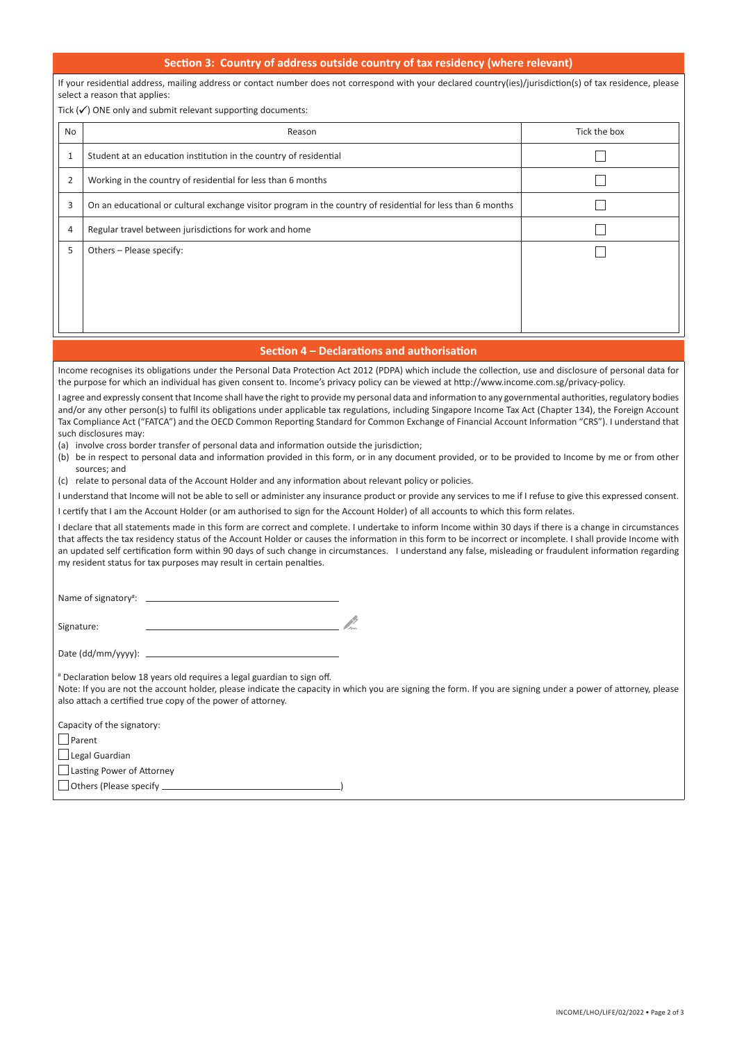#### **Section 3: Country of address outside country of tax residency (where relevant)**

If your residential address, mailing address or contact number does not correspond with your declared country(ies)/jurisdiction(s) of tax residence, please select a reason that applies:

Tick  $(\checkmark)$  ONE only and submit relevant supporting documents:

| No             | Reason                                                                                                      | Tick the box |
|----------------|-------------------------------------------------------------------------------------------------------------|--------------|
| T              | Student at an education institution in the country of residential                                           |              |
| $\overline{2}$ | Working in the country of residential for less than 6 months                                                |              |
| 3              | On an educational or cultural exchange visitor program in the country of residential for less than 6 months |              |
| 4              | Regular travel between jurisdictions for work and home                                                      |              |
| 5              | Others - Please specify:                                                                                    |              |
|                |                                                                                                             |              |
|                |                                                                                                             |              |
|                |                                                                                                             |              |

#### **Section 4 – Declarations and authorisation**

Income recognises its obligations under the Personal Data Protection Act 2012 (PDPA) which include the collection, use and disclosure of personal data for the purpose for which an individual has given consent to. Income's privacy policy can be viewed at http://www.income.com.sg/privacy-policy.

I agree and expressly consent that Income shall have the right to provide my personal data and information to any governmental authorities, regulatory bodies and/or any other person(s) to fulfil its obligations under applicable tax regulations, including Singapore Income Tax Act (Chapter 134), the Foreign Account Tax Compliance Act ("FATCA") and the OECD Common Reporting Standard for Common Exchange of Financial Account Information "CRS"). I understand that such disclosures may:

(a) involve cross border transfer of personal data and information outside the jurisdiction;

(b) be in respect to personal data and information provided in this form, or in any document provided, or to be provided to Income by me or from other sources; and

(c) relate to personal data of the Account Holder and any information about relevant policy or policies.

I understand that Income will not be able to sell or administer any insurance product or provide any services to me if I refuse to give this expressed consent.

I certify that I am the Account Holder (or am authorised to sign for the Account Holder) of all accounts to which this form relates.

I declare that all statements made in this form are correct and complete. I undertake to inform Income within 30 days if there is a change in circumstances that affects the tax residency status of the Account Holder or causes the information in this form to be incorrect or incomplete. I shall provide Income with an updated self certification form within 90 days of such change in circumstances. I understand any false, misleading or fraudulent information regarding my resident status for tax purposes may result in certain penalties.

Name of signatory#:

Signature:

Date (dd/mm/yyyy): \_

# Declaration below 18 years old requires a legal guardian to sign off.

Note: If you are not the account holder, please indicate the capacity in which you are signing the form. If you are signing under a power of attorney, please also attach a certified true copy of the power of attorney.

| Capacity of the signatory: |  |
|----------------------------|--|
| Parent                     |  |
| Legal Guardian             |  |
| Lasting Power of Attorney  |  |
| Others (Please specify     |  |